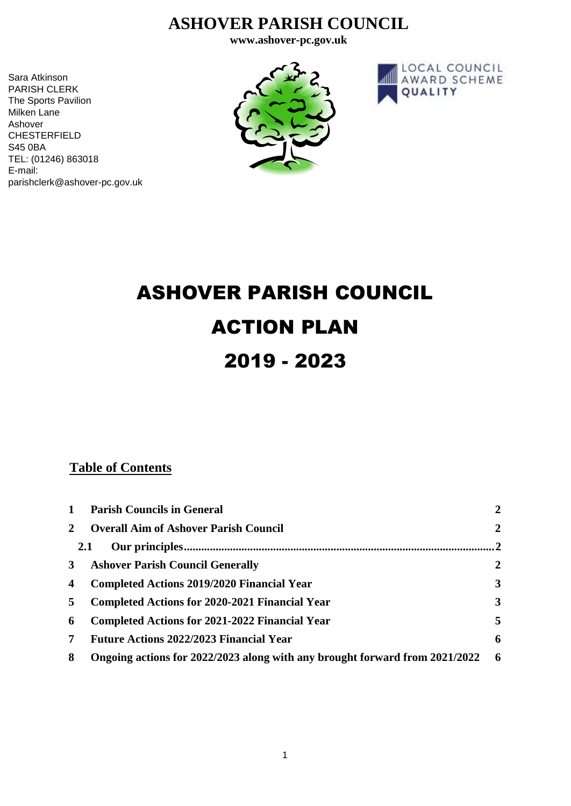# **ASHOVER PARISH COUNCIL**

**www.ashover-pc.gov.uk**

Sara Atkinson PARISH CLERK The Sports Pavilion Milken Lane Ashover CHESTERFIELD S45 0BA TEL: (01246) 863018 E-mail: parishclerk@ashover-pc.gov.uk





# ASHOVER PARISH COUNCIL ACTION PLAN 2019 - 2023

# **Table of Contents**

| $\mathbf{1}$ | <b>Parish Councils in General</b>                                           | $\mathbf{2}$   |
|--------------|-----------------------------------------------------------------------------|----------------|
| $\mathbf{2}$ | <b>Overall Aim of Ashover Parish Council</b>                                | $\overline{2}$ |
|              | <b>2.1</b>                                                                  | 2              |
| $3^{\circ}$  | <b>Ashover Parish Council Generally</b>                                     | $\overline{2}$ |
| 4            | <b>Completed Actions 2019/2020 Financial Year</b>                           | $\mathbf{3}$   |
| 5            | <b>Completed Actions for 2020-2021 Financial Year</b>                       | 3              |
| 6            | <b>Completed Actions for 2021-2022 Financial Year</b>                       | 5              |
| 7            | <b>Future Actions 2022/2023 Financial Year</b>                              | 6              |
| 8            | Ongoing actions for 2022/2023 along with any brought forward from 2021/2022 | - 6            |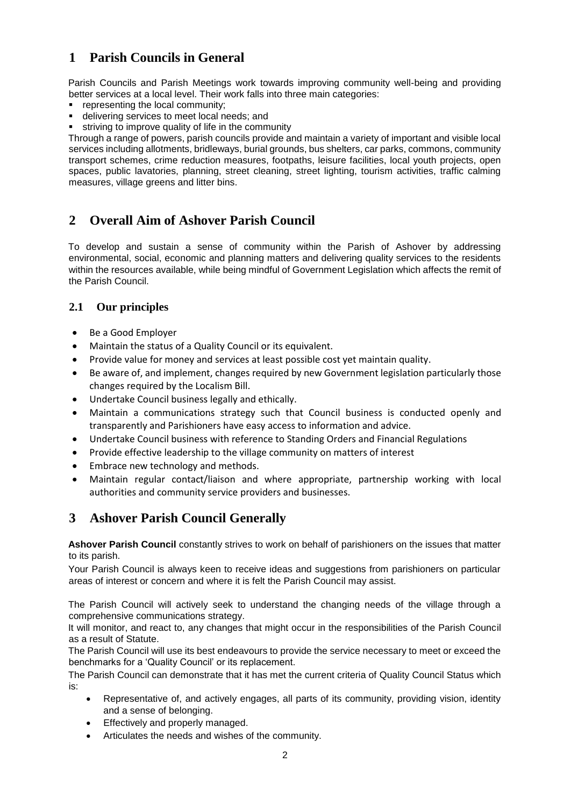# <span id="page-1-0"></span>**1 Parish Councils in General**

Parish Councils and Parish Meetings work towards improving community well-being and providing better services at a local level. Their work falls into three main categories:

- **•** representing the local community;
- delivering services to meet local needs; and
- **striving to improve quality of life in the community**

Through a range of powers, parish councils provide and maintain a variety of important and visible local services including allotments, bridleways, burial grounds, bus shelters, car parks, commons, community transport schemes, crime reduction measures, footpaths, leisure facilities, local youth projects, open spaces, public lavatories, planning, street cleaning, street lighting, tourism activities, traffic calming measures, village greens and litter bins.

#### <span id="page-1-1"></span>**2 Overall Aim of Ashover Parish Council**

To develop and sustain a sense of community within the Parish of Ashover by addressing environmental, social, economic and planning matters and delivering quality services to the residents within the resources available, while being mindful of Government Legislation which affects the remit of the Parish Council.

#### <span id="page-1-2"></span>**2.1 Our principles**

- Be a Good Employer
- Maintain the status of a Quality Council or its equivalent.
- Provide value for money and services at least possible cost yet maintain quality.
- Be aware of, and implement, changes required by new Government legislation particularly those changes required by the Localism Bill.
- Undertake Council business legally and ethically.
- Maintain a communications strategy such that Council business is conducted openly and transparently and Parishioners have easy access to information and advice.
- Undertake Council business with reference to Standing Orders and Financial Regulations
- Provide effective leadership to the village community on matters of interest
- Embrace new technology and methods.
- Maintain regular contact/liaison and where appropriate, partnership working with local authorities and community service providers and businesses.

#### <span id="page-1-3"></span>**3 Ashover Parish Council Generally**

**Ashover Parish Council** constantly strives to work on behalf of parishioners on the issues that matter to its parish.

Your Parish Council is always keen to receive ideas and suggestions from parishioners on particular areas of interest or concern and where it is felt the Parish Council may assist.

The Parish Council will actively seek to understand the changing needs of the village through a comprehensive communications strategy.

It will monitor, and react to, any changes that might occur in the responsibilities of the Parish Council as a result of Statute.

The Parish Council will use its best endeavours to provide the service necessary to meet or exceed the benchmarks for a 'Quality Council' or its replacement.

The Parish Council can demonstrate that it has met the current criteria of Quality Council Status which is:

- Representative of, and actively engages, all parts of its community, providing vision, identity and a sense of belonging.
- Effectively and properly managed.
- Articulates the needs and wishes of the community.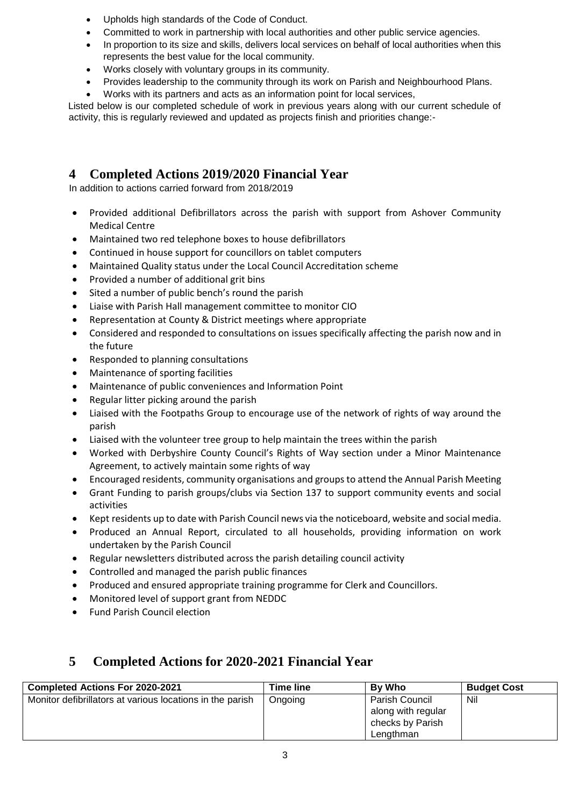- Upholds high standards of the Code of Conduct.
- Committed to work in partnership with local authorities and other public service agencies.
- In proportion to its size and skills, delivers local services on behalf of local authorities when this represents the best value for the local community.
- Works closely with voluntary groups in its community.
- Provides leadership to the community through its work on Parish and Neighbourhood Plans.
- Works with its partners and acts as an information point for local services,

Listed below is our completed schedule of work in previous years along with our current schedule of activity, this is regularly reviewed and updated as projects finish and priorities change:-

# <span id="page-2-0"></span>**4 Completed Actions 2019/2020 Financial Year**

In addition to actions carried forward from 2018/2019

- Provided additional Defibrillators across the parish with support from Ashover Community Medical Centre
- Maintained two red telephone boxes to house defibrillators
- Continued in house support for councillors on tablet computers
- Maintained Quality status under the Local Council Accreditation scheme
- Provided a number of additional grit bins
- Sited a number of public bench's round the parish
- Liaise with Parish Hall management committee to monitor CIO
- Representation at County & District meetings where appropriate
- Considered and responded to consultations on issues specifically affecting the parish now and in the future
- Responded to planning consultations
- Maintenance of sporting facilities
- Maintenance of public conveniences and Information Point
- Regular litter picking around the parish
- Liaised with the Footpaths Group to encourage use of the network of rights of way around the parish
- Liaised with the volunteer tree group to help maintain the trees within the parish
- Worked with Derbyshire County Council's Rights of Way section under a Minor Maintenance Agreement, to actively maintain some rights of way
- Encouraged residents, community organisations and groups to attend the Annual Parish Meeting
- Grant Funding to parish groups/clubs via Section 137 to support community events and social activities
- Kept residents up to date with Parish Council news via the noticeboard, website and social media.
- Produced an Annual Report, circulated to all households, providing information on work undertaken by the Parish Council
- Regular newsletters distributed across the parish detailing council activity
- Controlled and managed the parish public finances
- Produced and ensured appropriate training programme for Clerk and Councillors.
- Monitored level of support grant from NEDDC
- Fund Parish Council election

# <span id="page-2-1"></span>**5 Completed Actions for 2020-2021 Financial Year**

| <b>Completed Actions For 2020-2021</b>                    | Time line | By Who             | <b>Budget Cost</b> |
|-----------------------------------------------------------|-----------|--------------------|--------------------|
| Monitor defibrillators at various locations in the parish | Ongoing   | Parish Council     | Nil                |
|                                                           |           | along with regular |                    |
|                                                           |           | checks by Parish   |                    |
|                                                           |           | Lengthman          |                    |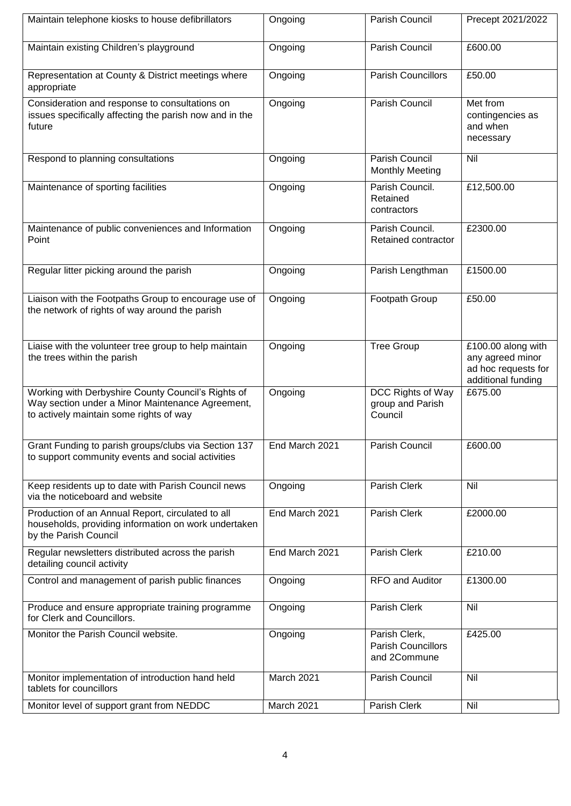| Maintain telephone kiosks to house defibrillators                                                                                                 | Ongoing        | Parish Council                                             | Precept 2021/2022                                                                   |
|---------------------------------------------------------------------------------------------------------------------------------------------------|----------------|------------------------------------------------------------|-------------------------------------------------------------------------------------|
| Maintain existing Children's playground                                                                                                           | Ongoing        | Parish Council                                             | £600.00                                                                             |
| Representation at County & District meetings where<br>appropriate                                                                                 | Ongoing        | <b>Parish Councillors</b>                                  | £50.00                                                                              |
| Consideration and response to consultations on<br>issues specifically affecting the parish now and in the<br>future                               | Ongoing        | Parish Council                                             | Met from<br>contingencies as<br>and when<br>necessary                               |
| Respond to planning consultations                                                                                                                 | Ongoing        | Parish Council<br><b>Monthly Meeting</b>                   | Nil                                                                                 |
| Maintenance of sporting facilities                                                                                                                | Ongoing        | Parish Council.<br>Retained<br>contractors                 | £12,500.00                                                                          |
| Maintenance of public conveniences and Information<br>Point                                                                                       | Ongoing        | Parish Council.<br>Retained contractor                     | £2300.00                                                                            |
| Regular litter picking around the parish                                                                                                          | Ongoing        | Parish Lengthman                                           | £1500.00                                                                            |
| Liaison with the Footpaths Group to encourage use of<br>the network of rights of way around the parish                                            | Ongoing        | Footpath Group                                             | £50.00                                                                              |
| Liaise with the volunteer tree group to help maintain<br>the trees within the parish                                                              | Ongoing        | <b>Tree Group</b>                                          | £100.00 along with<br>any agreed minor<br>ad hoc requests for<br>additional funding |
| Working with Derbyshire County Council's Rights of<br>Way section under a Minor Maintenance Agreement,<br>to actively maintain some rights of way | Ongoing        | DCC Rights of Way<br>group and Parish<br>Council           | £675.00                                                                             |
| Grant Funding to parish groups/clubs via Section 137<br>to support community events and social activities                                         | End March 2021 | Parish Council                                             | £600.00                                                                             |
| Keep residents up to date with Parish Council news<br>via the noticeboard and website                                                             | Ongoing        | Parish Clerk                                               | Nil                                                                                 |
| Production of an Annual Report, circulated to all<br>households, providing information on work undertaken<br>by the Parish Council                | End March 2021 | Parish Clerk                                               | £2000.00                                                                            |
| Regular newsletters distributed across the parish<br>detailing council activity                                                                   | End March 2021 | Parish Clerk                                               | £210.00                                                                             |
| Control and management of parish public finances                                                                                                  | Ongoing        | RFO and Auditor                                            | £1300.00                                                                            |
| Produce and ensure appropriate training programme<br>for Clerk and Councillors.                                                                   | Ongoing        | Parish Clerk                                               | Nil                                                                                 |
| Monitor the Parish Council website.                                                                                                               | Ongoing        | Parish Clerk,<br><b>Parish Councillors</b><br>and 2Commune | £425.00                                                                             |
| Monitor implementation of introduction hand held<br>tablets for councillors                                                                       | March 2021     | Parish Council                                             | Nil                                                                                 |
| Monitor level of support grant from NEDDC                                                                                                         | March 2021     | Parish Clerk                                               | Nil                                                                                 |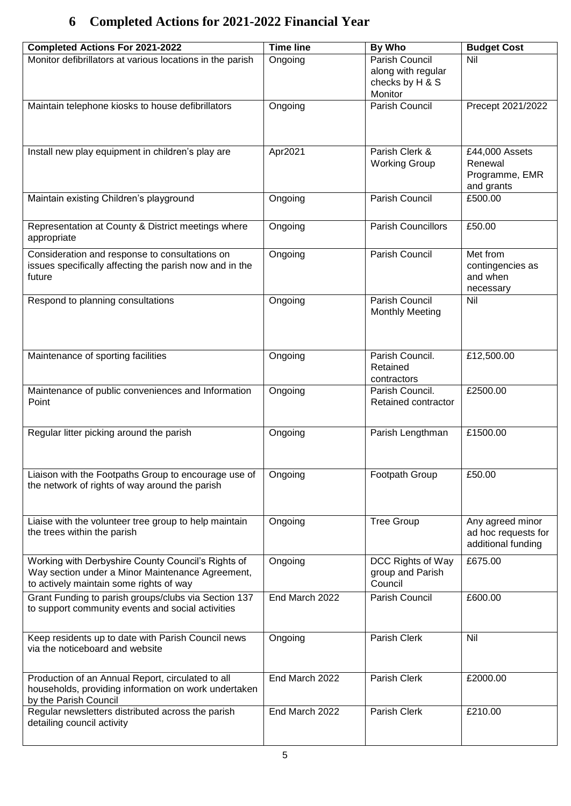# <span id="page-4-0"></span>**6 Completed Actions for 2021-2022 Financial Year**

| <b>Completed Actions For 2021-2022</b>                    | <b>Time line</b> | By Who                    | <b>Budget Cost</b>  |
|-----------------------------------------------------------|------------------|---------------------------|---------------------|
| Monitor defibrillators at various locations in the parish | Ongoing          | Parish Council            | Nil                 |
|                                                           |                  | along with regular        |                     |
|                                                           |                  | checks by H & S           |                     |
|                                                           |                  | Monitor                   |                     |
| Maintain telephone kiosks to house defibrillators         | Ongoing          | Parish Council            | Precept 2021/2022   |
|                                                           |                  |                           |                     |
|                                                           |                  |                           |                     |
|                                                           |                  |                           |                     |
|                                                           |                  | Parish Clerk &            | £44,000 Assets      |
| Install new play equipment in children's play are         | Apr2021          |                           | Renewal             |
|                                                           |                  | <b>Working Group</b>      |                     |
|                                                           |                  |                           | Programme, EMR      |
|                                                           |                  |                           | and grants          |
| Maintain existing Children's playground                   | Ongoing          | Parish Council            | £500.00             |
|                                                           |                  |                           |                     |
| Representation at County & District meetings where        | Ongoing          | <b>Parish Councillors</b> | £50.00              |
| appropriate                                               |                  |                           |                     |
|                                                           |                  | Parish Council            | Met from            |
| Consideration and response to consultations on            | Ongoing          |                           |                     |
| issues specifically affecting the parish now and in the   |                  |                           | contingencies as    |
| future                                                    |                  |                           | and when            |
|                                                           |                  |                           | necessary           |
| Respond to planning consultations                         | Ongoing          | Parish Council            | Nil                 |
|                                                           |                  | <b>Monthly Meeting</b>    |                     |
|                                                           |                  |                           |                     |
|                                                           |                  |                           |                     |
|                                                           |                  | Parish Council.           | £12,500.00          |
| Maintenance of sporting facilities                        | Ongoing          |                           |                     |
|                                                           |                  | Retained                  |                     |
|                                                           |                  | contractors               |                     |
| Maintenance of public conveniences and Information        | Ongoing          | Parish Council.           | £2500.00            |
| Point                                                     |                  | Retained contractor       |                     |
|                                                           |                  |                           |                     |
| Regular litter picking around the parish                  | Ongoing          | Parish Lengthman          | £1500.00            |
|                                                           |                  |                           |                     |
|                                                           |                  |                           |                     |
|                                                           |                  |                           |                     |
| Liaison with the Footpaths Group to encourage use of      | Ongoing          | Footpath Group            | £50.00              |
| the network of rights of way around the parish            |                  |                           |                     |
|                                                           |                  |                           |                     |
|                                                           |                  |                           |                     |
| Liaise with the volunteer tree group to help maintain     | Ongoing          | Tree Group                | Any agreed minor    |
| the trees within the parish                               |                  |                           | ad hoc requests for |
|                                                           |                  |                           | additional funding  |
| Working with Derbyshire County Council's Rights of        | Ongoing          | DCC Rights of Way         | £675.00             |
| Way section under a Minor Maintenance Agreement,          |                  | group and Parish          |                     |
| to actively maintain some rights of way                   |                  | Council                   |                     |
|                                                           |                  |                           |                     |
| Grant Funding to parish groups/clubs via Section 137      | End March 2022   | Parish Council            | £600.00             |
| to support community events and social activities         |                  |                           |                     |
|                                                           |                  |                           |                     |
| Keep residents up to date with Parish Council news        | Ongoing          | Parish Clerk              | Nil                 |
| via the noticeboard and website                           |                  |                           |                     |
|                                                           |                  |                           |                     |
|                                                           |                  |                           |                     |
| Production of an Annual Report, circulated to all         | End March 2022   | Parish Clerk              | £2000.00            |
| households, providing information on work undertaken      |                  |                           |                     |
| by the Parish Council                                     |                  |                           |                     |
| Regular newsletters distributed across the parish         | End March 2022   | Parish Clerk              | £210.00             |
| detailing council activity                                |                  |                           |                     |
|                                                           |                  |                           |                     |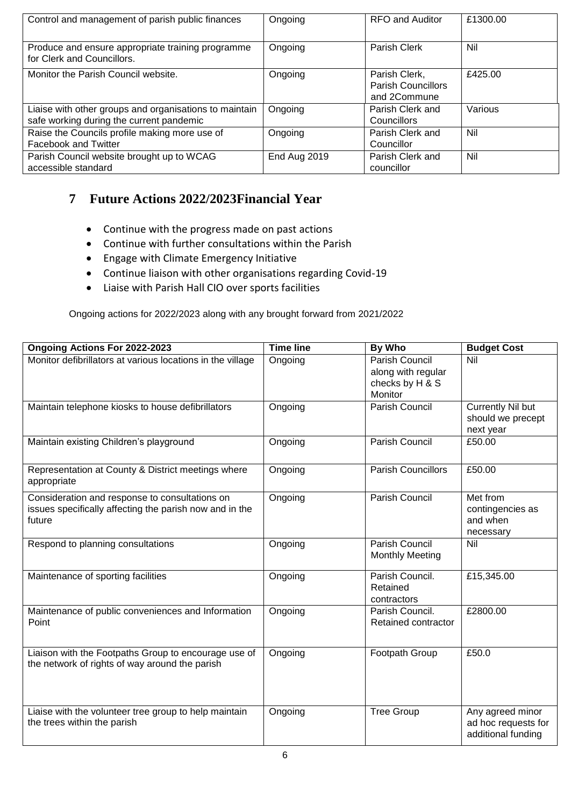| Control and management of parish public finances                                                   | Ongoing      | <b>RFO and Auditor</b>                                     | £1300.00 |
|----------------------------------------------------------------------------------------------------|--------------|------------------------------------------------------------|----------|
| Produce and ensure appropriate training programme<br>for Clerk and Councillors.                    | Ongoing      | Parish Clerk                                               | Nil      |
| Monitor the Parish Council website.                                                                | Ongoing      | Parish Clerk,<br><b>Parish Councillors</b><br>and 2Commune | £425.00  |
| Liaise with other groups and organisations to maintain<br>safe working during the current pandemic | Ongoing      | Parish Clerk and<br>Councillors                            | Various  |
| Raise the Councils profile making more use of<br>Facebook and Twitter                              | Ongoing      | Parish Clerk and<br>Councillor                             | Nil      |
| Parish Council website brought up to WCAG<br>accessible standard                                   | End Aug 2019 | Parish Clerk and<br>councillor                             | Nil      |

# <span id="page-5-0"></span>**7 Future Actions 2022/2023Financial Year**

- Continue with the progress made on past actions
- Continue with further consultations within the Parish
- Engage with Climate Emergency Initiative
- Continue liaison with other organisations regarding Covid-19
- Liaise with Parish Hall CIO over sports facilities

<span id="page-5-1"></span>Ongoing actions for 2022/2023 along with any brought forward from 2021/2022

| Ongoing Actions For 2022-2023                                                                                       | <b>Time line</b> | By Who                                                                    | <b>Budget Cost</b>                                            |
|---------------------------------------------------------------------------------------------------------------------|------------------|---------------------------------------------------------------------------|---------------------------------------------------------------|
| Monitor defibrillators at various locations in the village                                                          | Ongoing          | <b>Parish Council</b><br>along with regular<br>checks by H & S<br>Monitor | Nil                                                           |
| Maintain telephone kiosks to house defibrillators                                                                   | Ongoing          | <b>Parish Council</b>                                                     | <b>Currently Nil but</b><br>should we precept<br>next year    |
| Maintain existing Children's playground                                                                             | Ongoing          | Parish Council                                                            | £50.00                                                        |
| Representation at County & District meetings where<br>appropriate                                                   | Ongoing          | <b>Parish Councillors</b>                                                 | £50.00                                                        |
| Consideration and response to consultations on<br>issues specifically affecting the parish now and in the<br>future | Ongoing          | Parish Council                                                            | Met from<br>contingencies as<br>and when<br>necessary         |
| Respond to planning consultations                                                                                   | Ongoing          | Parish Council<br><b>Monthly Meeting</b>                                  | Nil                                                           |
| Maintenance of sporting facilities                                                                                  | Ongoing          | Parish Council.<br>Retained<br>contractors                                | £15,345.00                                                    |
| Maintenance of public conveniences and Information<br>Point                                                         | Ongoing          | Parish Council.<br>Retained contractor                                    | £2800.00                                                      |
| Liaison with the Footpaths Group to encourage use of<br>the network of rights of way around the parish              | Ongoing          | Footpath Group                                                            | £50.0                                                         |
| Liaise with the volunteer tree group to help maintain<br>the trees within the parish                                | Ongoing          | <b>Tree Group</b>                                                         | Any agreed minor<br>ad hoc requests for<br>additional funding |